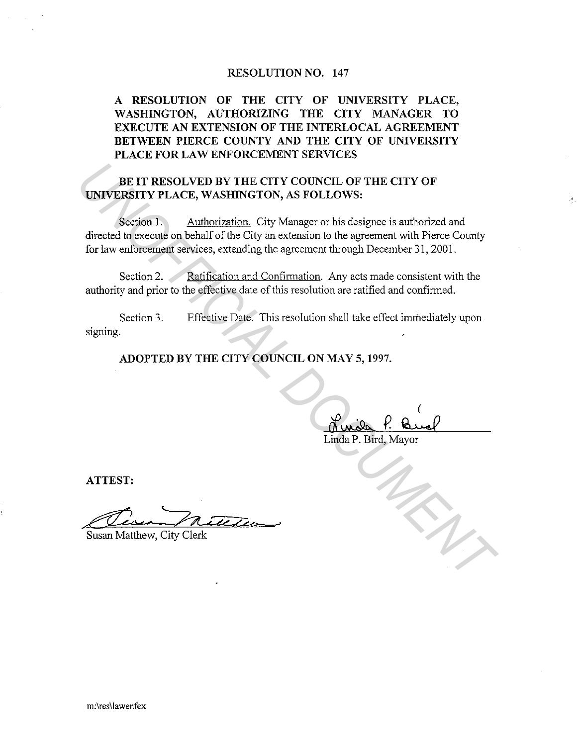### **RESOLUTION NO. 147**

**A RESOLUTION OF THE CITY OF UNIVERSITY PLACE, WASHINGTON, AUTHORIZING THE CITY MANAGER TO EXECUTE AN EXTENSION OF THE INTERLOCAL AGREEMENT BETWEEN PIERCE COUNTY AND THE CITY OF UNIVERSITY PLACE FOR LAW ENFORCEMENT SERVICES** 

# **BE IT RESOLVED BY THE CITY COUNCIL OF THE CITY OF UNIVERSITY PLACE, WASHINGTON, AS FOLLOWS:**

Section 1. Authorization. City Manager or his designee is authorized and directed to execute on behalf of the City an extension to the agreement with Pierce County for law enforcement services, extending the agreement through December 31, 2001. **EXECUTE DE VALUATE CITY COUNCIL OF THE CITY OF UNIVERSITY PLACE, WASHINGTON, AS FOLLOWS:**<br>
Section 1. Authorization, City Manager or his designee is authorized and<br>
directed to execute on behalf of the City an extension t

Section 2. Ratification and Confirmation. Any acts made consistent with the authority and prior to the effective date of this resolution are ratified and confirmed.

Section 3. signing. Effective Date. This resolution shall take effect immediately upon

**ADOPTED BY THE CITY COUNCIL ON MAY 5, 1997.** 

Linda P. Bird, Mayor

**ATTEST:** 

-~. . :::zz ,( *u\_* <µ-Susan Matthew, City Clerk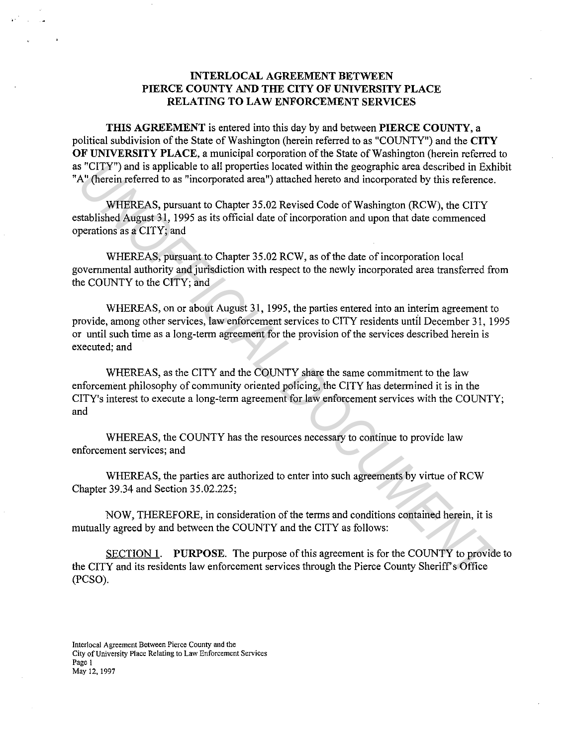## **INTERLOCAL AGREEMENT BETWEEN PIERCE COUNTY AND THE CITY OF UNIVERSITY PLACE RELATING TO LAW ENFORCEMENT SERVICES**

**TIDS AGREEMENT** is entered into this day by and between **PIERCE COUNTY,** a political subdivision of the State of Washington (herein referred to as "COUNTY") and the **CITY OF UNIVERSITY PLACE,** a municipal corporation of the State of Washington (herein referred to as "CITY") and is applicable to all properties located within the geographic area described in Exhibit "A" (herein referred to as "incorporated area") attached hereto and incorporated by this reference.

WHEREAS, pursuant to Chapter 35.02 Revised Code of Washington (RCW), the CITY established August 31, 1995 as its official date of incorporation and upon that date commenced operations as a CITY; and

WHEREAS, pursuant to Chapter 35.02 RCW, as of the date of incorporation local governmental authority and jurisdiction with respect to the newly incorporated area transferred from the COUNTY to the CITY; and

WHEREAS, on or about August 31, 1995, the parties entered into an interim agreement to provide, among other services, law enforcement services to CITY residents until December 31, 1995 or until such time as a long-term agreement for the provision of the services described herein is executed; and <sup>2</sup> CITY") and is applicable to all properties located within the geographic area described in Exhibitate (as a "incorporated area") attached hereto and incorporated by this reference.<br>
W<sup>1</sup> (herein referred to as "incorpo

WHEREAS, as the CITY and the COUNTY share the same commitment to the law enforcement philosophy of community oriented policing, the CITY has determined it is in the CITY's interest to execute a long-term agreement for law enforcement services with the COUNTY; and

WHEREAS, the COUNTY has the resources necessary to continue to provide law enforcement services; and

WHEREAS, the parties are authorized to enter into such agreements by virtue of RCW Chapter 39.34 and Section 35.02.225;

NOW, THEREFORE, in consideration of the terms and conditions contained herein, it is mutually agreed by and between the COUNTY and the CITY as follows:

SECTION 1. **PURPOSE.** The purpose of this agreement is for the COUNTY to provide to the CITY and its residents law enforcement services through the Pierce County Sheriff's Office (PCSO).

**Interlocal Agreement Between Pierce County and the City of University Place Relating to Law Enforcement Services Page 1**  May 12, 1997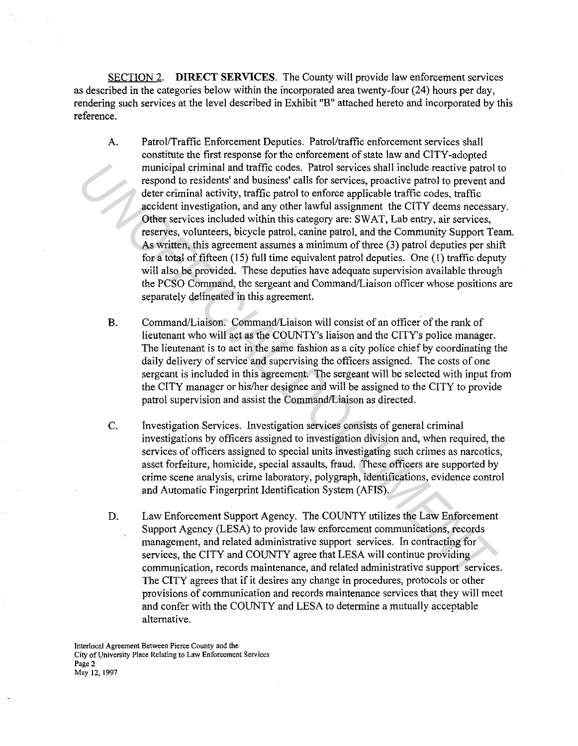SECTION 2. **DIRECT SERVICES.** The County will provide law enforcement services as described in the categories below within the incorporated area twenty-four (24) hours per day, rendering such services at the level described in Exhibit "B" attached hereto and incorporated by this reference.

- A. Patrol/Traffic Enforcement Deputies. Patrol/traffic enforcement services shall constitute the first response for the enforcement of state law and CITY-adopted municipal criminal and traffic codes. Patrol services shall include reactive patrol to respond to residents' and business' calls for services, proactive patrol to prevent and deter criminal activity, traffic patrol to enforce applicable traffic codes, traffic accident investigation, and any other lawful assignment the CITY deems necessary. Other services included within this category are: SWAT, Lab entry, air services, reserves, volunteers, bicycle patrol, canine patrol, and the Community Support Team. As written, this agreement assumes a minimum of three (3) patrol deputies per shift for a total of fifteen  $(15)$  full time equivalent patrol deputies. One  $(1)$  traffic deputy will also be provided. These deputies have adequate supervision available through the PCSO Command, the sergeant and Command/Liaison officer whose positions are separately delineated in this agreement. municipal critimial and tattific codes. Partol severas had include reactive partol<br>tespond to residents' and business' calls for services, proactive partol to prevera the<br>deter criminal activity, traffic partol to enforce
	- B. Command/Liaison. Command/Liaison will consist of an officer of the rank of lieutenant who will act as the COUNTY's liaison and the CITY's police manager. The lieutenant is to act in the same fashion as a city police chief by coordinating the daily delivery of service and supervising the officers assigned. The costs of one sergeant is included in this agreement. The sergeant will be selected with input from the CITY manager or his/her designee and will be assigned to the CITY to provide patrol supervision and assist the Command/Liaison as directed.
	- C. Investigation Services. Investigation services consists of general criminal investigations by officers assigned to investigation division and, when required, the services of officers assigned to special units investigating such crimes as narcotics, asset forfeiture, homicide, special assaults, fraud. These officers are supported by crime scene analysis, crime laboratory, polygraph, identifications, evidence control and Automatic Fingerprint Identification System (AFIS).
	- D. Law Enforcement Support Agency. The COUNTY utilizes the Law Enforcement Support Agency (LESA) to provide law enforcement communications, records management, and related administrative support services. In contracting for services, the CITY and COUNTY agree that LESA will continue providing communication, records maintenance, and related administrative support services. The CITY agrees that if it desires any change in procedures, protocols or other provisions of communication and records maintenance services that they will meet and confer with the COUNTY and LESA to determine a mutually acceptable alternative.

**Interlocal Agreement Between Pierce County and the City of University Place Relating to Law Enforcement Services Page 2**  May 12, 1997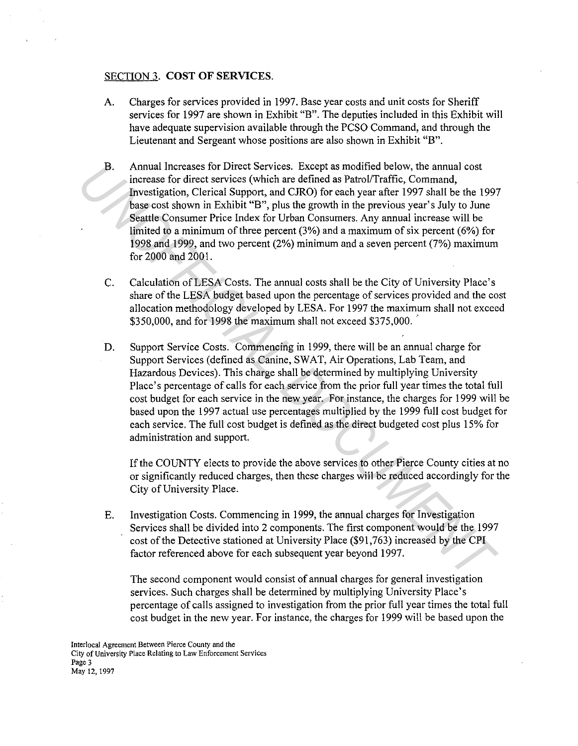### SECTION 3. **COST OF SERVICES.**

- A. Charges for services provided in 1997. Base year costs and unit costs for Sheriff services for 1997 are shown in Exhibit "B". The deputies included in this Exhibit will have adequate supervision available through the PCSO Command, and through the Lieutenant and Sergeant whose positions are also shown in Exhibit "B".
- B. Annual Increases for Direct Services. Except as modified below, the annual cost increase for direct services (which are defined as Patrol/Traffic, Command, Investigation, Clerical Support, and CJRO) for each year after 1997 shall be the 1997 base cost shown in Exhibit "B", plus the growth in the previous year's July to June Seattle Consumer Price Index for Urban Consumers. Any annual increase will be limited to a minimum of three percent (3%) and a maximum of six percent (6%) for 1998 and 1999, and two percent (2%) minimum and a seven percent (7%) maximum for 2000 and 2001. **B.** Amoual Increases for Direct Services. Except as modified below, the amnal ost<br>increase for direct services (Which are defined as Patrol/Trafflic, Command,<br>Investigation, Clerical Support, and CIRO) for each year after
	- C. Calculation of LESA Costs. The annual costs shall be the City of University Place's share of the LESA budget based upon the percentage of services provided and the cost allocation methodology developed by LESA. For 1997 the maximum shall not exceed  $$350,000$ , and for 1998 the maximum shall not exceed  $$375,000$ .
	- D. Support Service Costs. Commencing in 1999, there will be an annual charge for Support Services (defined as Canine, SW AT, Air Operations, Lab Team, and Hazardous Devices). This charge shall be determined by multiplying University Place's percentage of calls for each service from the prior full year times the total full cost budget for each service in the new year. For instance, the charges for 1999 will be based upon the 1997 actual use percentages multiplied by the 1999 full cost budget for each service. The full cost budget is defined as the direct budgeted cost plus 15% for administration and support.

If the COUNTY elects to provide the above services to other Pierce County cities at no or significantly reduced charges, then these charges will be reduced accordingly for the City of University Place.

E. Investigation Costs. Commencing in 1999, the annual charges for Investigation Services shall be divided into 2 components. The first component would be the 1997 cost of the Detective stationed at University Place (\$91,763) increased by the CPI factor referenced above for each subsequent year beyond 1997.

The second component would consist of annual charges for general investigation services. Such charges shall be determined by multiplying University Place's percentage of calls assigned to investigation from the prior full year times the total full cost budget in the new year. For instance, the charges for 1999 will be based upon the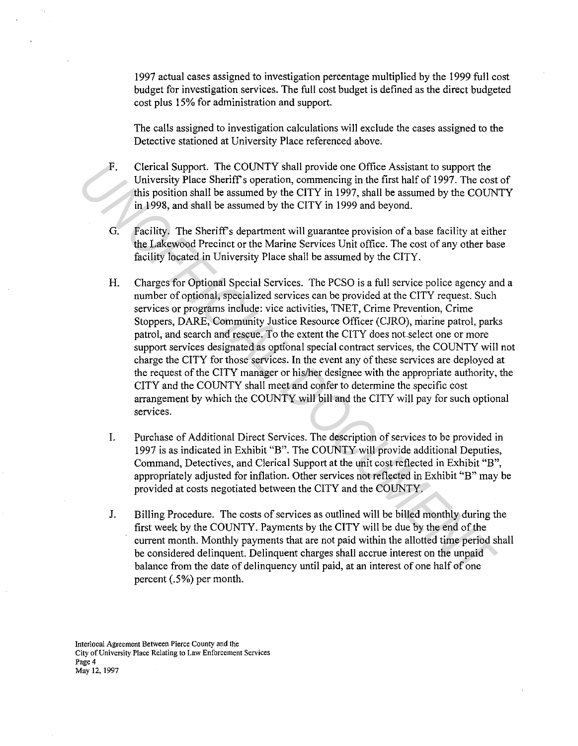1997 actual cases assigned to investigation percentage multiplied by the 1999 full cost budget for investigation services. The full cost budget is defined as the direct budgeted cost plus 15% for administration and support.

The calls assigned to investigation calculations will exclude the cases assigned to the Detective stationed at University Place referenced above.

- F. Clerical Support. The COUNTY shall provide one Office Assistant to support the University Place Sheriff's operation, commencing in the first half of 1997. The cost of this position shall be assumed by the CITY in 1997, shall be assumed by the COUNTY in 1998, and shall be assumed by the CITY in 1999 and beyond.
- G. Facility. The Sheriffs department will guarantee provision of a base facility at either the Lakewood Precinct or the Marine Services Unit office. The cost of any other base facility located in University Place shall be assumed by the CITY.
- H. Charges for Optional Special Services. The PCSO is a full service police agency and a number of optional, specialized services can be provided at the CITY request. Such services or programs include: vice activities, TNET, Crime Prevention, Crime Stoppers, DARE, Community Justice Resource Officer (CJRO), marine patrol, parks patrol, and search and rescue. To the extent the CITY does not.select one or more support services designated as optional special contract services, the COUNTY will not charge the CITY for those services. In the event any of these services are deployed at the request of the CITY manager or his/her designee with the appropriate authority, the CITY and the COUNTY shall meet and confer to determine the specific cost arrangement by which the COUNTY will bill and the CITY will pay for such optional services. F. Ceircal Support. The COUNTY shall provide one Office Assissmant os uspport the curry and the curry in 1993, and shall be assumed by the CITY in 1997, and lbe assumed by the COUN in 1998, and shall be assumed by the CITY
	- I. Purchase of Additional Direct Services. The description of services to be provided in 1997 is as indicated in Exhibit "B". The COUNTY will provide additional Deputies, Command, Detectives, and Clerical Support at the unit cost reflected in Exhibit "B", appropriately adjusted for inflation. Other services not reflected in Exhibit "B" may be provided at costs negotiated between the CITY and the COUNTY.
	- J. Billing Procedure. The costs of services as outlined will be billed monthly during the first week by the COUNTY. Payments by the CITY will be due by the end of the current month. Monthly payments that are not paid within the allotted time period shall be considered delinquent. Delinquent charges shall accrue interest on the unpaid balance from the date of delinquency until paid, at an interest of one half of one percent (.5%) per month.

**Interlocal Agreement Between Pierce County and the City of University Place Relating to Law Enforcement Services Page4**  May 12, 1997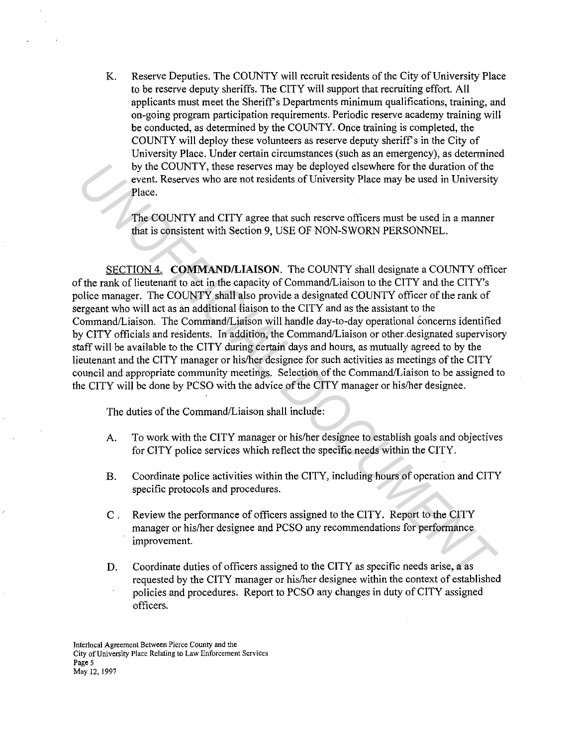K. Reserve Deputies. The COUNTY will recruit residents of the City of University Place to be reserve deputy sheriffs. The CITY will support that recruiting effort. All applicants must meet the Sheriff's Departments minimum qualifications, training, and on-going program participation requirements. Periodic reserve academy training will be conducted, as determined by the COUNTY. Once training is completed, the COUNTY will deploy these volunteers as reserve deputy sheriff's in the City of University Place. Under certain circumstances (such as an emergency), as determined by the COUNTY, these reserves may be deployed elsewhere for the duration of the event. Reserves who are not residents of University Place may be used in University Place.

The COUNTY and CITY agree that such reserve officers must be used in a manner that is consistent with Section 9, USE OF NON-SWORN PERSONNEL.

SECTION 4. **COMMAND/LIAISON.** The COUNTY shall designate a COUNTY officer of the rank of lieutenant to act in the capacity of Command/Liaison to the CITY and the CITY's police manager. The COUNTY shall also provide a designated COUNTY officer of the rank of sergeant who will act as an additional liaison to the CITY and as the assistant to the Command/Liaison. The Command/Liaison will handle day-to-day operational concerns identified by CITY officials and residents. In addition, the Command/Liaison or other.designated supervisory staff will be available to the CITY during certain days and hours, as mutually agreed to by the lieutenant and the CITY manager or his/her designee for such activities as meetings of the CITY council and appropriate community meetings. Selection of the Command/Liaison to be assigned to the CITY will be done by PCSO with the advice of the CITY manager or his/her designee. *Using COUNTY*, these reserves may be deployed elsewhere for the duration of the<br>
event. Reserves who are not residents of University Place may be used in University<br>
Place.<br>
The COUNTY and CITY agree that such reserve off

The duties of the Command/Liaison shall include:

- A. To work with the CITY manager or his/her designee to establish goals and objectives for CITY police services which reflect the specific needs within the CITY.
- B. Coordinate police activities within the CITY, including hours of operation and CITY specific protocols and procedures.
- C . Review the performance of officers assigned to the CITY. Report to the CITY manager or his/her designee and PCSO any recommendations for performance improvement.
- D. Coordinate duties of officers assigned to the CITY as specific needs arise, a as requested by the CITY manager or his/her designee within the context of established policies and procedures. Report to PCSO any changes in duty of CITY assigned officers.

**Interlocal Agreement Between Pierce County and the City of University Place Relating to Law Enforcement Services Page 5**  May 12, 1997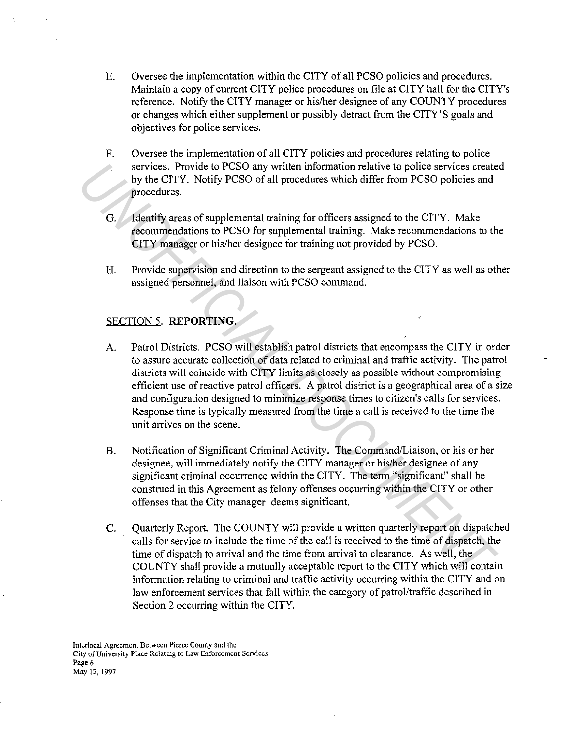- E. Oversee the implementation within the CITY of all PCSO policies and procedures. Maintain a copy of current CITY police procedures on file at CITY hall for the CITY's reference. Notify the CITY manager or his/her designee of any COUNTY procedures or changes which either supplement or possibly detract from the CITY'S goals and objectives for police services.
- F. Oversee the implementation of all CITY policies and procedures relating to police services. Provide to PCSO any written information relative to police services created by the CITY. Notify PCSO of all procedures which differ from PCSO policies and procedures.
- G. Identify areas of supplemental training for officers assigned to the CITY. Make recommendations to PCSO for supplemental training. Make recommendations to the CITY manager or his/her designee for training not provided by PCSO.
- H. Provide supervision and direction to the sergeant assigned to the CITY as well as other assigned personnel, and liaison with PCSO command.

### SECTION 5. **REPORTING.**

- A. Patrol Districts. PCSO will establish patrol districts that encompass the CITY in order to assure accurate collection of data related to criminal and traffic activity. The patrol districts will coincide with CITY limits as closely as possible without compromising efficient use of reactive patrol officers. A patrol district is a geographical area of a size and configuration designed to minimize response times to citizen's calls for services. Response time is typically measured from the time a call is received to the time the unit arrives on the scene. services. Provide to PCSO any written information relative to police services create<br>by the CITY. Notify PCSO of all procedures which differ from PCSO policies and<br>procedures.<br>C. Identify areas of supplemental training for
	- B. Notification of Significant Criminal Activity. The Command/Liaison, or his or her designee, will immediately notify the CITY manager or his/her designee of any significant criminal occurrence within the CITY. The term "significant" shall be construed in this Agreement as felony offenses occurring within the CITY or other offenses that the City manager deems significant.
	- C. Quarterly Report. The COUNTY will provide a written quarterly report on dispatched calls for service to include the time of the call is received to the time of dispatch, the time of dispatch to arrival and the time from arrival to clearance. As well, the COUNTY shall provide a mutually acceptable report to the CITY which will contain information relating to criminal and traffic activity occurring within the CITY and on law enforcement services that fall within the category of patrol/traffic described in Section 2 occurring within the CITY.

**Interlocal Agreement Between Pierce County and the City of University Place Relating to La\v Enforcement Services Page 6**  May 12, 1997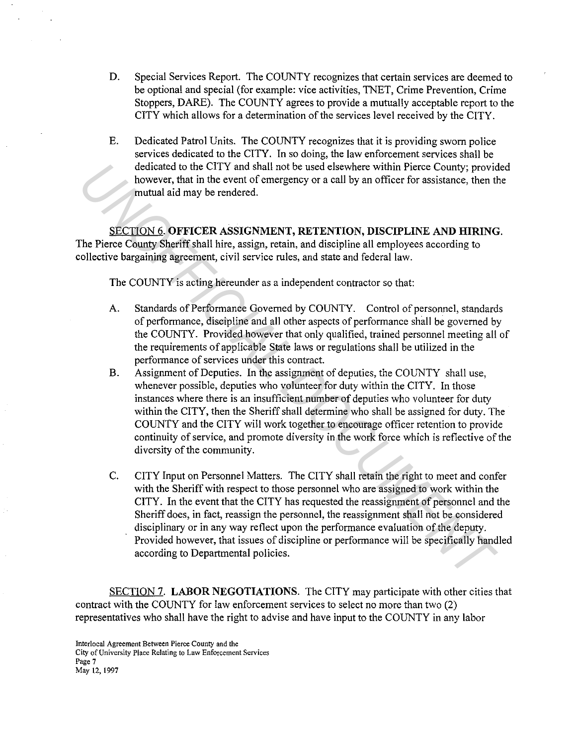- D. Special Services Report. The COUNTY recognizes that certain services are deemed to be optional and special (for example: vice activities, TNET, Crime Prevention, Crime Stoppers, DARE). The COUNTY agrees to provide a mutually acceptable report to the CITY which allows for a determination of the services level received by the CITY.
- E. Dedicated Patrol Units. The COUNTY recognizes that it is providing sworn police services dedicated to the CITY. In so doing, the law enforcement services shall be dedicated to the CITY and shall not be used elsewhere within Pierce County; provided however, that in the event of emergency or a call by an officer for assistance, then the mutual aid may be rendered.

SECTION 6. **OFFICER ASSIGNMENT, RETENTION, DISCIPLINE AND HIRING.**  The Pierce County Sheriff shall hire, assign, retain, and discipline all employees according to collective bargaining agreement, civil service rules, and state and federal law.

The COUNTY is acting hereunder as a independent contractor so that:

- A. Standards of Performance Governed by COUNTY. Control of personnel, standards of performance, discipline and all other aspects of performance shall be governed by the COUNTY. Provided however that only qualified, trained personnel meeting all of the requirements of applicable State laws or regulations shall be utilized in the performance of services under this contract.
- B. Assignment of Deputies. In the assignment of deputies, the COUNTY shall use, whenever possible, deputies who volunteer for duty within the CITY. In those instances where there is an insufficient number of deputies who volunteer for duty within the CITY, then the Sheriff shall determine who shall be assigned for duty. The COUNTY and the CITY will work together to encourage officer retention to provide continuity of service, and promote diversity in the work force which is reflective of the diversity of the community. dedicated to the CITY and shall not be used elsewhere within Pierce County; provide<br>
however, that in the event of emergency or a call by an officer for assistance, then the<br>
mowever, that in the event of emergency or a ca
	- C. CITY Input on Personnel Matters. The CITY shall retain the right to meet and confer with the Sheriff with respect to those personnel who are assigned to work within the CITY. In the event that the CITY has requested the reassignment of personnel and the Sheriff does, in fact, reassign the personnel, the reassignment shall not be considered disciplinary or in any way reflect upon the performance evaluation of the deputy. Provided however, that issues of discipline or performance will be specifically handled according to Departmental policies.

SECTION 7. **LABOR NEGOTIATIONS.** The CITY may participate with other cities that contract with the COUNTY for law enforcement services to select no more than two (2) representatives who shall have the right to advise and have input to the COUNTY in any labor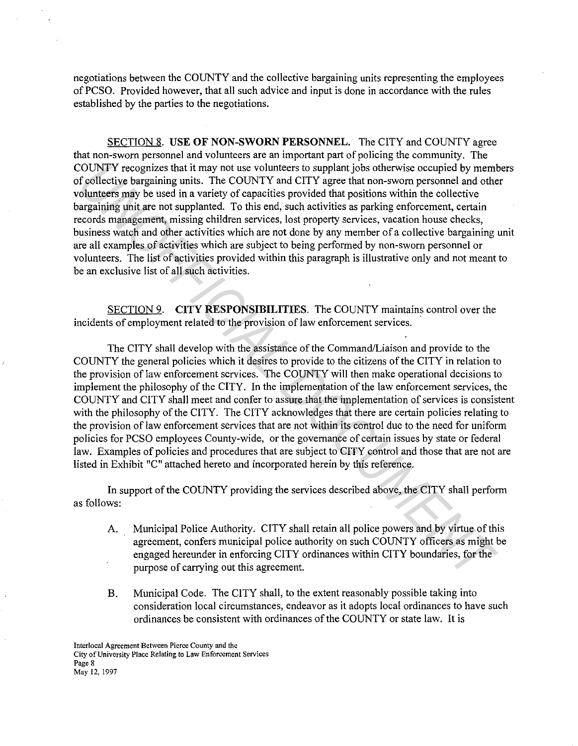negotiations between the COUNTY and the collective bargaining units representing the employees of PCSO. Provided however, that all such advice and input is done in accordance with the rules established by the parties to the negotiations.

SECTION 8. **USE OF NON-SWORN PERSONNEL.** The CITY and COUNTY agree that non-sworn personnel and volunteers are an important part of policing the community. The COUNTY recognizes that it may not use volunteers to supplant jobs otherwise occupied by members of collective bargaining units. The COUNTY and CITY agree that non-sworn personnel and other volunteers may be used in a variety of capacities provided that positions within the collective bargaining unit are not supplanted. To this end, such activities as parking enforcement, certain records management, missing children services, lost property services, vacation house checks, business watch and other activities which are not done by any member of a collective bargaining unit are all examples of activities which are subject to being performed by non-sworn personnel or volunteers. The list of activities provided within this paragraph is illustrative only and not meant to be an exclusive list of all such activities.

SECTION 9. **CITY RESPONSIBILITIES.** The COUNTY maintains control over the incidents of employment related to the provision of law enforcement services.

The CITY shall develop with the assistance of the Command/Liaison and provide to the COUNTY the general policies which it desires to provide to the citizens of the CITY in relation to the provision of law enforcement services. The COUNTY will then make operational decisions to implement the philosophy of the CITY. In the implementation of the law enforcement services, the COUNTY and CITY shall meet and confer to assure that the implementation of services is consistent with the philosophy of the CITY. The CITY acknowledges that there are certain policies relating to the provision of law enforcement services that are not within its control due to the need for uniform policies for PCSO employees County-wide, or the governance of certain issues by state or federal law. Examples of policies and procedures that are subject to CITY control and those that are not are listed in Exhibit "C" attached hereto and incorporated herein by this reference. COUNTY recognizes that it may not use volunteres to supplant jobs otherwise cocupied by members and in a variety of capacities provided that positions within the collective<br>doutteers may be used in a variety of capacities

In support of the COUNTY providing the services described above, the CITY shall perform as follows:

- A. Municipal Police Authority. CITY shall retain all police powers and by virtue of this agreement, confers municipal police authority on such COUNTY officers as might be engaged hereunder in enforcing CITY ordinances within CITY boundaries, for the purpose of carrying out this agreement.
- B. Municipal Code. The CITY shall, to the extent reasonably possible taking into consideration local circumstances, endeavor as it adopts local ordinances to have such ordinances be consistent with ordinances of the COUNTY or state law. It is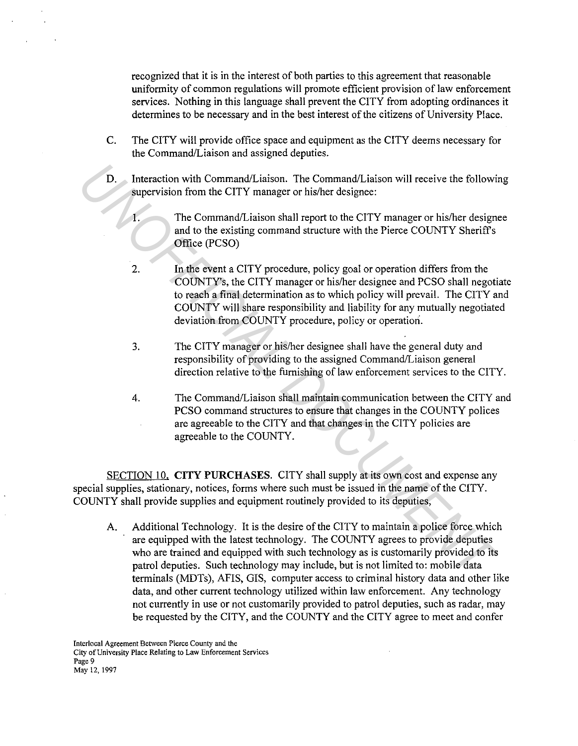recognized that it is in the interest of both parties to this agreement that reasonable uniformity of common regulations will promote efficient provision of law enforcement services. Nothing in this language shall prevent the CITY from adopting ordinances it determines to be necessary and in the best interest of the citizens of University Place.

- C. The CITY will provide office space and equipment as the CITY deems necessary for the Command/Liaison and assigned deputies.
- D. Interaction with Command/Liaison. The Command/Liaison will receive the following supervision from the CITY manager or his/her designee:
	- I. The Command/Liaison shall report to the CITY manager or his/her designee and to the existing command structure with the Pierce COUNTY Sheriffs Office (PCSO)
	- 2. In the event a CITY procedure, policy goal or operation differs from the COUNTY's, the CITY manager or his/her designee and PCSO shall negotiate to reach a final determination as to which policy will prevail. The CITY and COUNTY will share responsibility and liability for any mutually negotiated deviation from COUNTY procedure, policy or operation.
	- 3. The CITY manager or his/her designee shall have the general duty and responsibility of providing to the assigned Command/Liaison general direction relative to the furnishing of law enforcement services to the CITY.
	- 4. The Command/Liaison shall maintain communication between the CITY and PCSO command structures to ensure that changes in the COUNTY polices are agreeable to the CITY and that changes in the CITY policies are agreeable to the COUNTY.

SECTION IO. **CITY PURCHASES.** CITY shall supply at its own cost and expense any special supplies, stationary, notices, forms where such must be issued in the name of the CITY. COUNTY shall provide supplies and equipment routinely provided to its deputies,

A. Additional Technology. It is the desire of the CITY to maintain a police force which are equipped with the latest technology. The COUNTY agrees to provide deputies who are trained and equipped with such technology as is customarily provided to its patrol deputies. Such technology may include, but is not limited to: mobile data terminals (MDTs), AFIS, GIS, computer access to criminal history data and other like data, and other current technology utilized within law enforcement. Any technology not currently in use or not customarily provided to patrol deputies, such as radar, may be requested by the CITY, and the COUNTY and the CITY agree to meet and confer **19.** Interaction with Command/Liaison. The Command/Liaison will receive the following<br>pervision from the CITY manager or his/her designee:<br>
1. The Command/Liaison shall report to the CITY manager or his/her designee<br>
2. I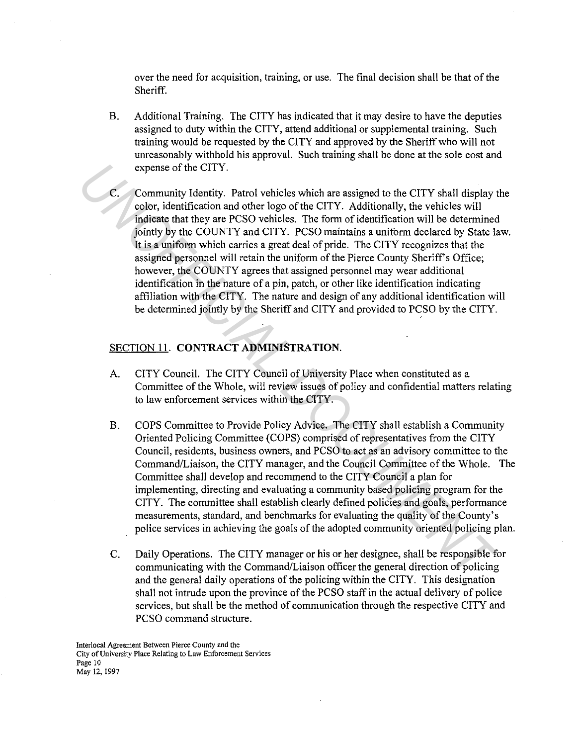over the need for acquisition, training, or use. The final decision shall be that of the Sheriff.

- B. Additional Training. The CITY has indicated that it may desire to have the deputies assigned to duty within the CITY, attend additional or supplemental training. Such training would be requested by the CITY and approved by the Sheriff who will not unreasonably withhold his approval. Such training shall be done at the sole cost and expense of the CITY.
- Community Identity. Patrol vehicles which are assigned to the CITY shall display the color, identification and other logo of the CITY. Additionally, the vehicles will indicate that they are PCSO vehicles. The form of identification will be determined . jointly by the COUNTY and CITY. PCSO maintains a uniform declared by State law. It is a uniform which carries a great deal of pride. The CITY recognizes that the assigned personnel will retain the uniform of the Pierce County Sheriff's Office; however, the COUNTY agrees that assigned personnel may wear additional identification in the nature of a pin, patch, or other like identification indicating affiliation with the CITY. The nature and design of any additional identification will be determined jointly by the Sheriff and CITY and provided to PCSO by the CITY. **C.** Community Identity. Partot vehicles which are assigned to the CITY abil play color, identification and other diego of the CITY. Additionally, the vehicles will principate that they are PCSO vehicles. The form of ident

#### SECTION 11. **CONTRACT ADMINISTRATION.**

- A. CITY Council. The CITY Council of University Place when constituted as a Committee of the Whole, will review issues of policy and confidential matters relating to law enforcement services within the CITY.
- B. COPS Committee to Provide Policy Advice. The CITY shall establish a Community Oriented Policing Committee (COPS) comprised ofrepresentatives from the CITY Council, residents, business owners, and PCSO to act as an advisory committee to the Command/Liaison, the CITY manager, and the Council Committee of the Whole. The Committee shall develop and recommend to the CITY Council a plan for implementing, directing and evaluating a community based policing program for the CITY. The committee shall establish clearly defined policies and goals, performance measurements, standard, and benchmarks for evaluating the quality of the County's police services in achieving the goals of the adopted community oriented policing plan.
- C. Daily Operations. The CITY manager or his or her designee, shall be responsible for communicating with the Command/Liaison officer the general direction of policing and the general daily operations of the policing within the CITY. This designation shall not intrude upon the province of the PCSO staff in the actual delivery of police services, but shall be the method of communication through the respective CITY and PCSO command structure.

**Interlocal Agreement Between Pierce County and the City of University Place Relating** *to* **Law Enforcement Services**  Page 10 May 12, 1997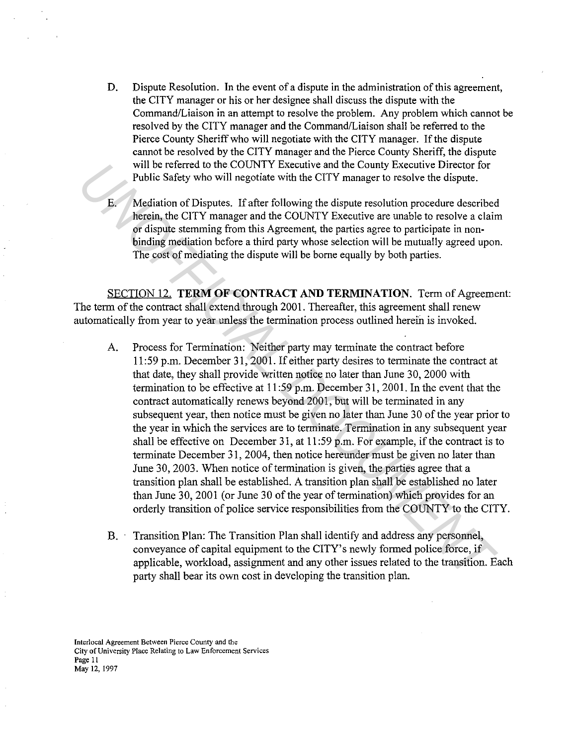D. Dispute Resolution. In the event of a dispute in the administration of this agreement, the CITY manager or his or her designee shall discuss the dispute with the Command/Liaison in an attempt to resolve the problem. Any problem which cannot be resolved by the CITY manager and the Command/Liaison shall be referred to the Pierce County Sheriff who will negotiate with the CITY manager. If the dispute cannot be resolved by the CITY manager and the Pierce County Sheriff, the dispute will be referred to the COUNTY Executive and the County Executive Director for Public Safety who will negotiate with the CITY manager to resolve the dispute.

E. Mediation of Disputes. If after following the dispute resolution procedure described herein, the CITY manager and the COUNTY Executive are unable to resolve a claim or dispute stemming from this Agreement, the parties agree to participate in nonbinding mediation before a third party whose selection will be mutually agreed upon. The cost of mediating the dispute will be borne equally by both parties.

SECTION 12. **TERM OF CONTRACT AND TERMINATION.** Term of Agreement: The term of the contract shall extend through 2001. Thereafter, this agreement shall renew automatically from year to year unless the termination process outlined herein is invoked.

- A. Process for Termination: Neither party may terminate the contract before 11 :59 p.m. December 31, 200 I. If either party desires to terminate the contract at that date, they shall provide written notice no later than June 30, 2000 with termination to be effective at 11 :59 p.m. December 31, 2001. In the event that the contract automatically renews beyond 2001, but will be terminated in any subsequent year, then notice must be given no later than June 30 of the year prior to the year in which the services are to terminate. Termination in any subsequent year shall be effective on December 31, at 11 :59 p.m. For example, if the contract is to terminate December 31, 2004, then notice hereunder must be given no later than June 30, 2003. When notice of termination is given, the parties agree that a transition plan shall be established. A transition plan shall be established no later than June 30, 2001 (or June 30 of the year of termination) which provides for an orderly transition of police service responsibilities from the COUNTY to the CITY. Will be refiered to the COUNTY Executive and the County Executive Director for the County is periodic of Disputes. If after following the dispute resolve the dispute.<br> **E.** Mediation of Disputes. If after following the di
	- B. Transition Plan: The Transition Plan shall identify and address any personnel, conveyance of capital equipment to the CITY' s newly formed police force, if applicable, workload, assignment and any other issues related to the transition. Each party shall bear its own cost in developing the transition plan.

**Interlocal Agreement Between Pierce County and the City of University Place Relating to Law Enforcement Services Page 11**  May 12. 1997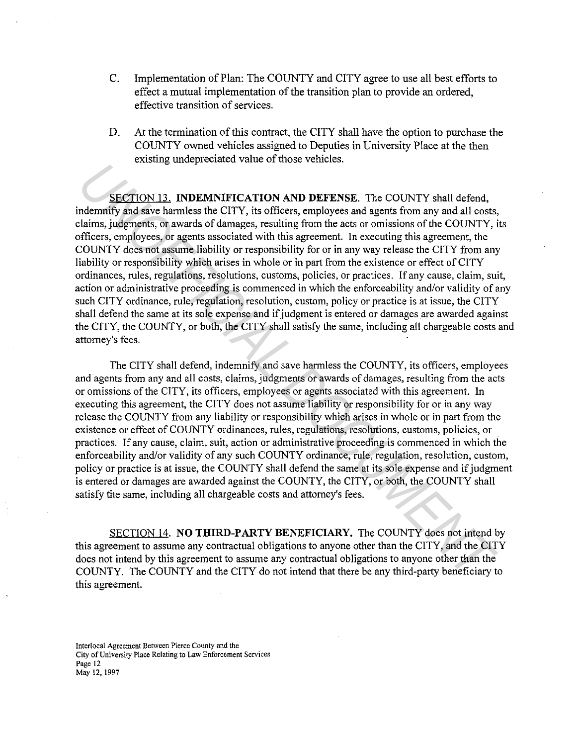- C. Implementation of Plan: The COUNTY and CITY agree to use all best efforts to effect a mutual implementation of the transition plan to provide an ordered, effective transition of services.
- D. At the termination of this contract, the CITY shall have the option to purchase the COUNTY owned vehicles assigned to Deputies in University Place at the then existing undepreciated value of those vehicles.

SECTION 13. **INDEMNIFICATION AND DEFENSE.** The COUNTY shall defend, indemnify and save harmless the CITY, its officers, employees and agents from any and all costs, claims, judgments, or awards of damages, resulting from the acts or omissions of the COUNTY, its officers, employees, or agents associated with this agreement. In executing this agreement, the COUNTY does not assume liability or responsibility for or in any way release the CITY from any liability or responsibility which arises in whole or in part from the existence or effect of CITY ordinances, rules, regulations, resolutions, customs, policies, or practices. If any cause, claim, suit, action or administrative proceeding is commenced in which the enforceability and/or validity of any such CITY ordinance, rule, regulation, resolution, custom, policy or practice is at issue, the CITY shall defend the same at its sole expense and if judgment is entered or damages are awarded against the CITY, the COUNTY, or both, the CITY shall satisfy the same, including all chargeable costs and attorney's fees. **EXECTION 12. INDENDATIFICATION AND DEFENSE.** The COUNTY shall defend,<br> **Indentify** and save harmless the CITY, its officers, employes and agents from any and all costs,<br>
Italian, judgments, or awards of damages, resulti

The CITY shall defend, indemnify and save harmless the COUNTY, its officers, employees and agents from any and all costs, claims, judgments or awards of damages, resulting from the acts or omissions of the CITY, its officers, employees or agents associated with this agreement. In executing this agreement, the CITY does not assume liability or responsibility for or in any way release the COUNTY from any liability or responsibility which arises in whole or in part from the existence or effect of COUNTY ordinances, rules, regulations, resolutions, customs, policies, or practices. If any cause, claim, suit, action or administrative proceeding is commenced in which the enforceability and/or validity of any such COUNTY ordinance, rule, regulation, resolution, custom, policy or practice is at issue, the COUNTY shall defend the same at its sole expense and if judgment is entered or damages are awarded against the COUNTY, the CITY, or both, the COUNTY shall satisfy the same, including all chargeable costs and attorney's fees.

SECTION 14. **NO THIRD-PARTY BENEFICIARY.** The COUNTY does not intend by this agreement to assume any contractual obligations to anyone other than the CITY, and the CITY does not intend by this agreement to assume any contractual obligations to anyone other than the COUNTY. The COUNTY and the CITY do not intend that there be any third-party beneficiary to this agreement.

**Interlocal Agreement Between Pierce County and the City of University Place Relating to Law Enforcement Services Page 12**  May 12, 1997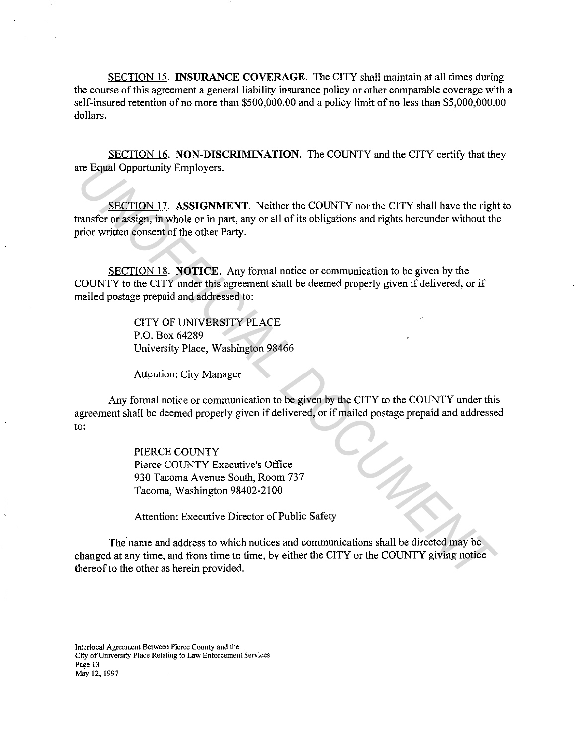SECTION 15. **INSURANCE COVERAGE.** The CITY shall maintain at all times during the course of this agreement a general liability insurance policy or other comparable coverage with a self-insured retention of no more than \$500,000.00 and a policy limit of no less than \$5,000,000.00 dollars.

SECTION 16. **NON-DISCRIMINATION.** The COUNTY and the CITY certify that they are Equal Opportunity Employers.

SECTION 17. **ASSIGNMENT.** Neither the COUNTY nor the CITY shall have the right to transfer or assign, in whole or in part, any or all of its obligations and rights hereunder without the prior written consent of the other Party. **UNDERENTION 17.** ASSIGNMENT. Neither the COUNTY nor the CITY shall have the right<br> **SECTION 17.** ASSIGNMENT. Neither the COUNTY nor the CITY shall have the right<br>
paraseter or assign, in whole or in part, any or all of it

SECTION 18. **NOTICE.** Any formal notice or communication to be given by the COUNTY to the CITY under this agreement shall be deemed properly given if delivered, or if mailed postage prepaid and addressed to:

> CITY OF UNIVERSITY PLACE P.O. Box 64289 University Place, Washington 98466

Attention: City Manager

Any formal notice or communication to be given by the CITY to the COUNTY under this agreement shall be deemed properly given if delivered, or if mailed postage prepaid and addressed to:

> PIERCE COUNTY Pierce COUNTY Executive's Office 930 Tacoma Avenue South, Room 737 Tacoma, Washington 98402-2100

Attention: Executive Director of Public Safety

The name and address to which notices and communications shall be directed may be changed at any time, and from time to time, by either the CITY or the COUNTY giving notice thereof to the other as herein provided.

**Interlocal Agreement Between Pierce County and the City of University Place Relating to Law Enforcement Services Page 13**  May 12, 1997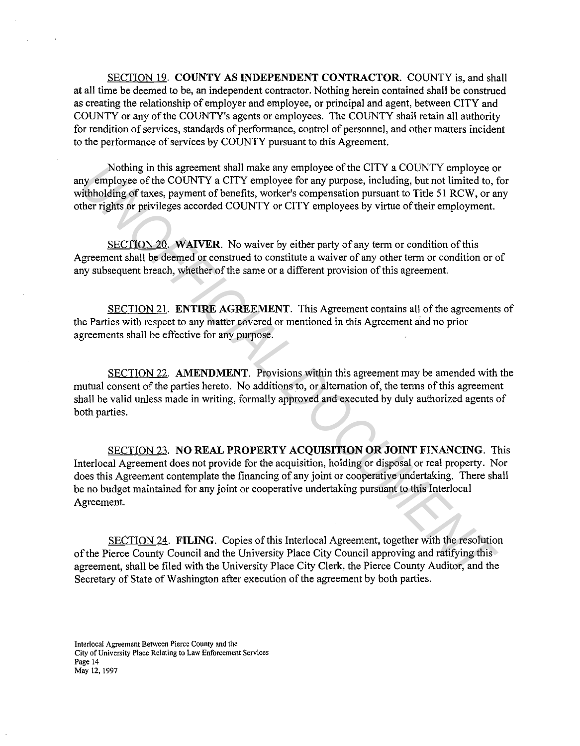SECTION 19. **COUNTY AS INDEPENDENT CONTRACTOR.** COUNTY is, and shall at all time be deemed to be, an independent contractor. Nothing herein contained shall be construed as creating the relationship of employer and employee, or principal and agent, between CITY and COUNTY or any of the COUNTY's agents or employees. The COUNTY shall retain all authority for rendition of services, standards of performance, control of personnel, and other matters incident to the performance of services by COUNTY pursuant to this Agreement.

Nothing in this agreement shall make any employee of the CITY a COUNTY employee or any employee of the COUNTY a CITY employee for any purpose, including, but not limited to, for withholding of taxes, payment of benefits, worker's compensation pursuant to Title 51 RCW, or any other rights or privileges accorded COUNTY or CITY employees by virtue of their employment.

SECTION 20. **WAIVER.** No waiver by either party of any term or condition of this Agreement shall be deemed or construed to constitute a waiver of any other term or condition or of any subsequent breach, whether of the same or a different provision of this agreement.

SECTION 21. **ENTIRE AGREEMENT.** This Agreement contains all of the agreements of the Parties with respect to any matter covered or mentioned in this Agreement and no prior agreements shall be effective for any purpose.

SECTION 22. **AMENDMENT.** Provisions within this agreement may be amended with the mutual consent of the parties hereto. No additions to, or alternation of, the terms of this agreement shall be valid unless made in writing, formally approved and executed by duly authorized agents of both parties.

SECTION 23. **NO REAL PROPERTY ACQUISITION OR JOINT FINANCING.** This Interlocal Agreement does not provide for the acquisition, holding or disposal or real property. Nor does this Agreement contemplate the financing of any joint or cooperative undertaking. There shall be no budget maintained for any joint or cooperative undertaking pursuant to this Interlocal Agreement. Nothing in this agreement shall plack any employee of the CITV. a COUNTY a cross-<br> *UNOFFICIAL COUNTY* corresponds to the COUNTY of the COUNTY a crity a comparison propose, including, but not limited to, the<br> *Unibelding o* 

SECTION 24. **FILING.** Copies of this Interlocal Agreement, together with the resolution of the Pierce County Council and the University Place City Council approving and ratifying this agreement, shall be filed with the University Place City Clerk, the Pierce County Auditor, and the Secretary of State of Washington after execution of the agreement by both parties.

**Interlocal Agreement Between Pierce County and the City of University Place Relating to Law Enforcement Services Page 14**  May 12, 1997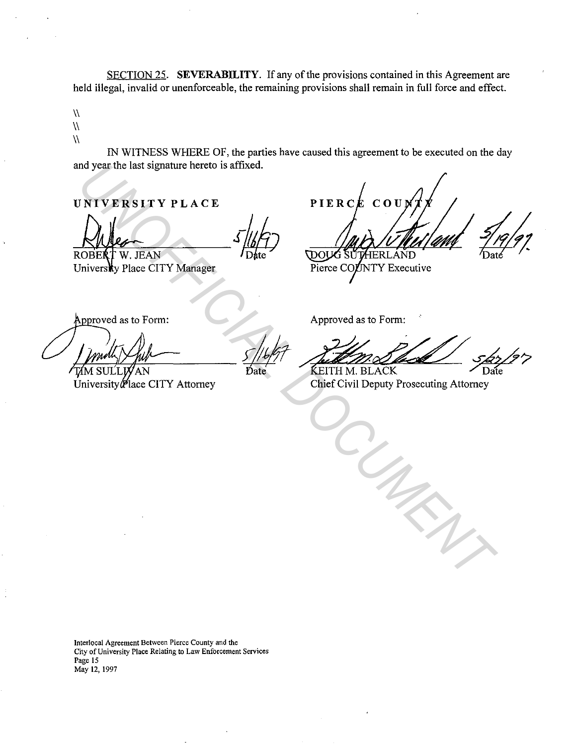SECTION 25. **SEVERABILITY.** If any of the provisions contained in this Agreement are held illegal, invalid or unenforceable, the remaining provisions shall remain in full force and effect.

 $\sqrt{2}$ 

 $\lambda$  $\overline{N}$ 

> IN WITNESS WHERE OF, the parties have caused this agreement to be executed on the day and year the last signature hereto is affixed.

**UNIVERSITY PLACE** 

MONTE RESITY PLACE<br>
UNIVERSITY PLACE<br>
UNIVERSITY Manager<br>
Solutions Place CITY Manager<br>
Propoved as to Form:<br>
Propoved as to Form:<br>
Propoved as to Form:<br>
Propoved as to Form:<br>
Propoved as to Form:<br>
Propoved as to Form:<br>
Pr

University Place CITY Manager

Approved as to Form:

**Interlocal Agreement Between Pierce County and the City of University Place Relating to Law Enforcement Services Page 15**  May 12, 1997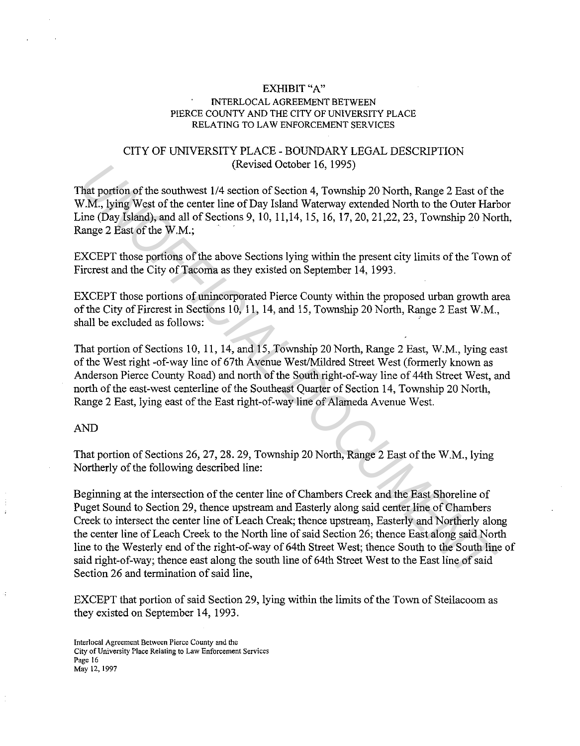### EXHIBIT "A" INTERLOCAL AGREEMENT BETWEEN PIERCE COUNTY AND THE CITY OF UNIVERSITY PLACE RELATING TO LAW ENFORCEMENT SERVICES

## CITY OF UNIVERSITY PLACE - BOUNDARY LEGAL DESCRIPTION (Revised October 16, 1995)

That portion of the southwest 1/4 section of Section 4, Township 20 North, Range 2 East of the W.M., lying West of the center line of Day Island Waterway extended North to the Outer Harbor Line (Day Island), and all of Sections 9, 10, 11,14, 15, 16, 17, 20, 21,22, 23, Township 20 North, Range 2 East of the W.M.;

EXCEPT those portions of the above Sections lying within the present city limits of the Town of Fircrest and the City of Tacoma as they existed on September 14, 1993.

EXCEPT those portions of unincorporated Pierce County within the proposed urban growth area of the City of Fircrest in Sections 10, 11, 14, and 15, Township 20 North, Range 2 East W.M., shall be excluded as follows:

That portion of Sections 10, 11, 14, and 15, Township 20 North, Range 2 East, W.M., lying east of the West right -of-way line of 67th Avenue West/Mildred Street West (formerly known as Anderson Pierce County Road) and north of the South right-of-way line of 44th Street West, and north of the east-west centerline of the Southeast Quarter of Section 14, Township 20 North, Range 2 East, lying east of the East right-of-way line of Alameda Avenue West.

#### AND

That portion of Sections 26, 27, 28. 29, Township 20 North, Range 2 East of the W.M., lying Northerly of the following described line:

Beginning at the intersection of the center line of Chambers Creek and the East Shoreline of Puget Sound to Section 29, thence upstream and Easterly along said center line of Chambers Creek to intersect the center line of Leach Creak; thence upstream, Easterly and Northerly along the center line of Leach Creek to the North line of said Section 26; thence East along said North line to the Westerly end of the right-of-way of 64th Street West; thence South to the South line of said right-of-way; thence east along the south line of 64th Street West to the East line of said Section 26 and termination of said line, (kevised October 16, 1995)<br>
That portion of the southwest 1/4 section of Section 4, Township 20 North, Range 2 East of the N.M., lying West of the center line of Day Island Wareway extended North to the Outer Har<br>
ine (Day

EXCEPT that portion of said Section 29, lying within the limits of the Town of Steilacoom as they existed on September 14, 1993.

**Interlocal Agreement Between Pierce County and the City of University Place Relating to Law Enforcement Services Page 16**  May 12, 1997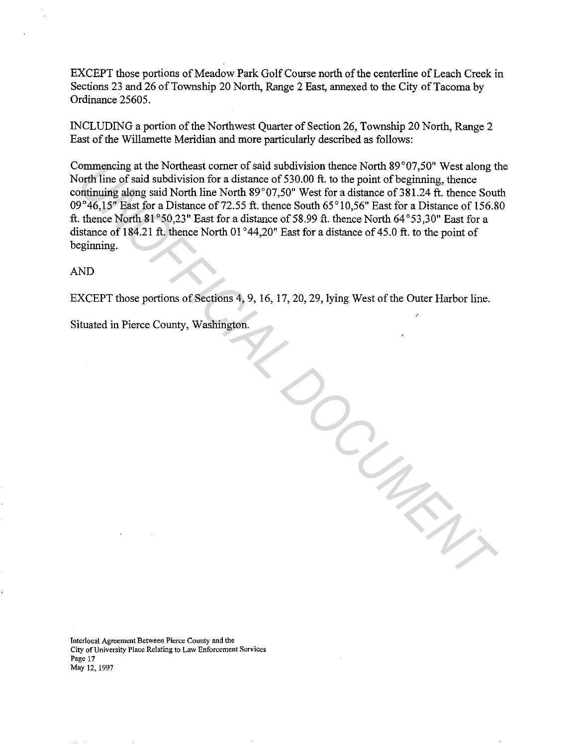EXCEPT those portions of Meadow Park Golf Course north of the centerline of Leach Creek in Sections 23 and 26 of Township 20 North, Range 2 East, annexed to the City of Tacoma by Ordinance 25605.

INCLUDING a portion of the Northwest Quarter of Section 26, Township 20 North, Range 2 East of the Willamette Meridian and more particularly described as follows:

Commencing at the Northeast comer of said subdivision thence North 89°07,50" West along the North line of said subdivision for a distance of 530.00 ft. to the point of beginning, thence continuing along said North line North 89°07,50" West for a distance of 381.24 ft. thence South 09°46,15" East for a Distance of 72.55 ft. thence South 65°10,56" East for a Distance of 156.80 ft. thence North  $81^{\circ}50.23$ " East for a distance of 58.99 ft. thence North  $64^{\circ}53.30$ " East for a distance of 184.21 ft. thence North 01°44,20" East for a distance of 45.0 ft. to the point of beginning.

AND

EXCEPT those portions of Sections 4, 9, 16, 17, 20, 29, lying West of the Outer Harbor line.

*UNOFFICIAL DOCUMENT*

Situated in Pierce County, Washington.

**Interlocal Agreement Between Pierce County and the City of University Place Relating to Law Enforcement Services Page 17**  May 12, 1997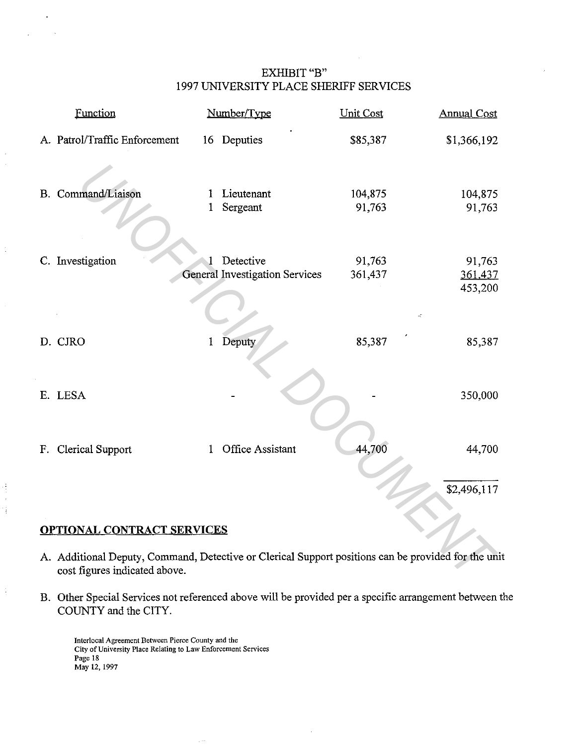# EXHIBIT "B" 1997 UNIVERSITY PLACE SHERIFF SERVICES

|                                   | Function                                                                                                                            |              | Number/Type                                        | <b>Unit Cost</b>  | <b>Annual Cost</b> |
|-----------------------------------|-------------------------------------------------------------------------------------------------------------------------------------|--------------|----------------------------------------------------|-------------------|--------------------|
|                                   | A. Patrol/Traffic Enforcement                                                                                                       |              | 16 Deputies                                        | \$85,387          | \$1,366,192        |
|                                   | B. Command/Liaison                                                                                                                  | I<br>1       | Lieutenant<br>Sergeant                             | 104,875<br>91,763 | 104,875<br>91,763  |
|                                   | C. Investigation                                                                                                                    | $\mathbf{1}$ | Detective<br><b>General Investigation Services</b> | 91,763<br>361,437 | 91,763<br>361,437  |
|                                   |                                                                                                                                     |              |                                                    |                   | 453,200            |
|                                   | D. CJRO                                                                                                                             | 1            | Deputy                                             | 85,387            | 85,387             |
|                                   | E. LESA                                                                                                                             |              |                                                    |                   | 350,000            |
|                                   | F. Clerical Support                                                                                                                 | $\mathbf{1}$ | Office Assistant                                   | 44,700            | 44,700             |
|                                   |                                                                                                                                     |              |                                                    |                   | \$2,496,117        |
| <b>OPTIONAL CONTRACT SERVICES</b> |                                                                                                                                     |              |                                                    |                   |                    |
|                                   | A. Additional Deputy, Command, Detective or Clerical Support positions can be provided for the uni<br>cost figures indicated above. |              |                                                    |                   |                    |

# **OPTIONAL CONTRACT SERVICES**

ŧ

- A. Additional Deputy, Command, Detective or Clerical Support positions can be provided for the unit cost figures indicated above.
- B. Other Special Services not referenced above will be provided per a specific arrangement between the COUNTY and the CITY.

**Interlocal Agreement Between Pierce County and the City of University Place Relating to Law Enforcement Services Page 18**  May 12, 1997